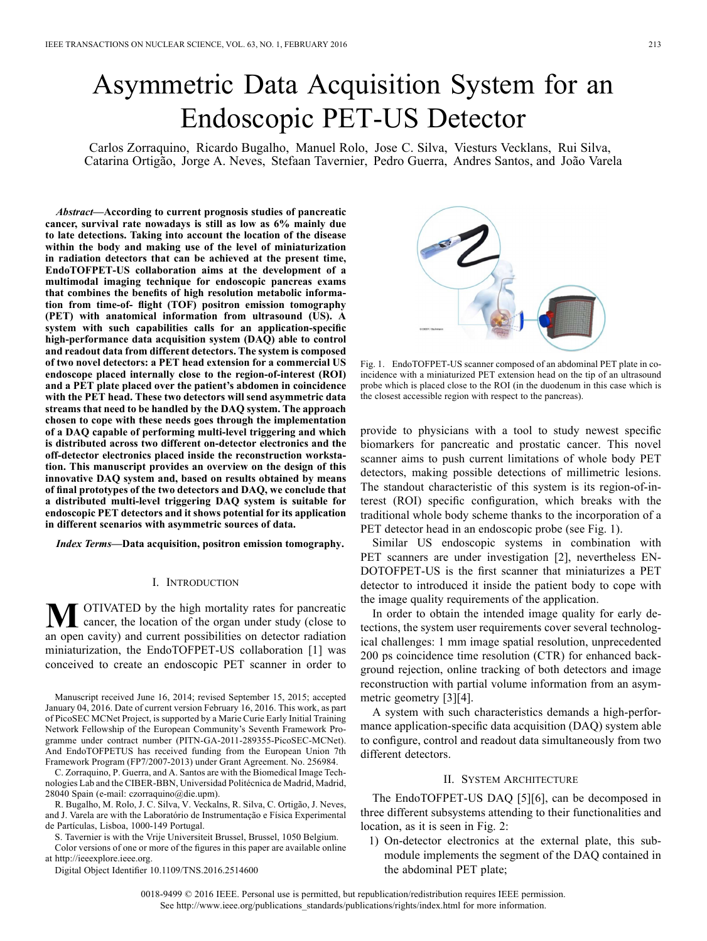# Asymmetric Data Acquisition System for an Endoscopic PET-US Detector

Carlos Zorraquino, Ricardo Bugalho, Manuel Rolo, Jose C. Silva, Viesturs Vecklans, Rui Silva, Catarina Ortigão, Jorge A. Neves, Stefaan Tavernier, Pedro Guerra, Andres Santos, and João Varela

*Abstract—***According to current prognosis studies of pancreatic cancer, survival rate nowadays is still as low as 6% mainly due to late detections. Taking into account the location of the disease within the body and making use of the level of miniaturization in radiation detectors that can be achieved at the present time, EndoTOFPET-US collaboration aims at the development of a multimodal imaging technique for endoscopic pancreas exams that combines the benefits of high resolution metabolic information from time-of- flight (TOF) positron emission tomography (PET) with anatomical information from ultrasound (US). A system with such capabilities calls for an application-specific high-performance data acquisition system (DAQ) able to control and readout data from different detectors. The system is composed of two novel detectors: a PET head extension for a commercial US endoscope placed internally close to the region-of-interest (ROI) and a PET plate placed over the patient's abdomen in coincidence with the PET head. These two detectors will send asymmetric data streams that need to be handled by the DAQ system. The approach chosen to cope with these needs goes through the implementation of a DAQ capable of performing multi-level triggering and which is distributed across two different on-detector electronics and the off-detector electronics placed inside the reconstruction workstation. This manuscript provides an overview on the design of this innovative DAQ system and, based on results obtained by means of final prototypes of the two detectors and DAQ, we conclude that a distributed multi-level triggering DAQ system is suitable for endoscopic PET detectors and it shows potential for its application in different scenarios with asymmetric sources of data.**

*Index Terms—***Data acquisition, positron emission tomography.**

#### I. INTRODUCTION

**M** OTIVATED by the high mortality rates for pancreatic cancer, the location of the organ under study (close to an open cavity) and current possibilities on detector radiation miniaturization, the EndoTOFPET-US collaboration [1] was conceived to create an endoscopic PET scanner in order to

Manuscript received June 16, 2014; revised September 15, 2015; accepted January 04, 2016. Date of current version February 16, 2016. This work, as part of PicoSEC MCNet Project, is supported by a Marie Curie Early Initial Training Network Fellowship of the European Community's Seventh Framework Programme under contract number (PITN-GA-2011-289355-PicoSEC-MCNet). And EndoTOFPETUS has received funding from the European Union 7th Framework Program (FP7/2007-2013) under Grant Agreement. No. 256984.

C. Zorraquino, P. Guerra, and A. Santos are with the Biomedical Image Technologies Lab and the CIBER-BBN, Universidad Politécnica de Madrid, Madrid, 28040 Spain (e-mail: czorraquino@die.upm).

R. Bugalho, M. Rolo, J. C. Silva, V. Veckalns, R. Silva, C. Ortigão, J. Neves, and J. Varela are with the Laboratório de Instrumentação e Física Experimental de Partículas, Lisboa, 1000-149 Portugal.

S. Tavernier is with the Vrije Universiteit Brussel, Brussel, 1050 Belgium.

Color versions of one or more of the figures in this paper are available online at http://ieeexplore.ieee.org.

Digital Object Identifier 10.1109/TNS.2016.2514600

Fig. 1. EndoTOFPET-US scanner composed of an abdominal PET plate in coincidence with a miniaturized PET extension head on the tip of an ultrasound probe which is placed close to the ROI (in the duodenum in this case which is the closest accessible region with respect to the pancreas).

provide to physicians with a tool to study newest specific biomarkers for pancreatic and prostatic cancer. This novel scanner aims to push current limitations of whole body PET detectors, making possible detections of millimetric lesions. The standout characteristic of this system is its region-of-interest (ROI) specific configuration, which breaks with the traditional whole body scheme thanks to the incorporation of a PET detector head in an endoscopic probe (see Fig. 1).

Similar US endoscopic systems in combination with PET scanners are under investigation [2], nevertheless EN-DOTOFPET-US is the first scanner that miniaturizes a PET detector to introduced it inside the patient body to cope with the image quality requirements of the application.

In order to obtain the intended image quality for early detections, the system user requirements cover several technological challenges: 1 mm image spatial resolution, unprecedented 200 ps coincidence time resolution (CTR) for enhanced background rejection, online tracking of both detectors and image reconstruction with partial volume information from an asymmetric geometry [3][4].

A system with such characteristics demands a high-performance application-specific data acquisition (DAQ) system able to configure, control and readout data simultaneously from two different detectors.

### II. SYSTEM ARCHITECTURE

The EndoTOFPET-US DAQ [5][6], can be decomposed in three different subsystems attending to their functionalities and location, as it is seen in Fig. 2:

1) On-detector electronics at the external plate, this submodule implements the segment of the DAQ contained in the abdominal PET plate;

0018-9499 © 2016 IEEE. Personal use is permitted, but republication/redistribution requires IEEE permission. See http://www.ieee.org/publications\_standards/publications/rights/index.html for more information.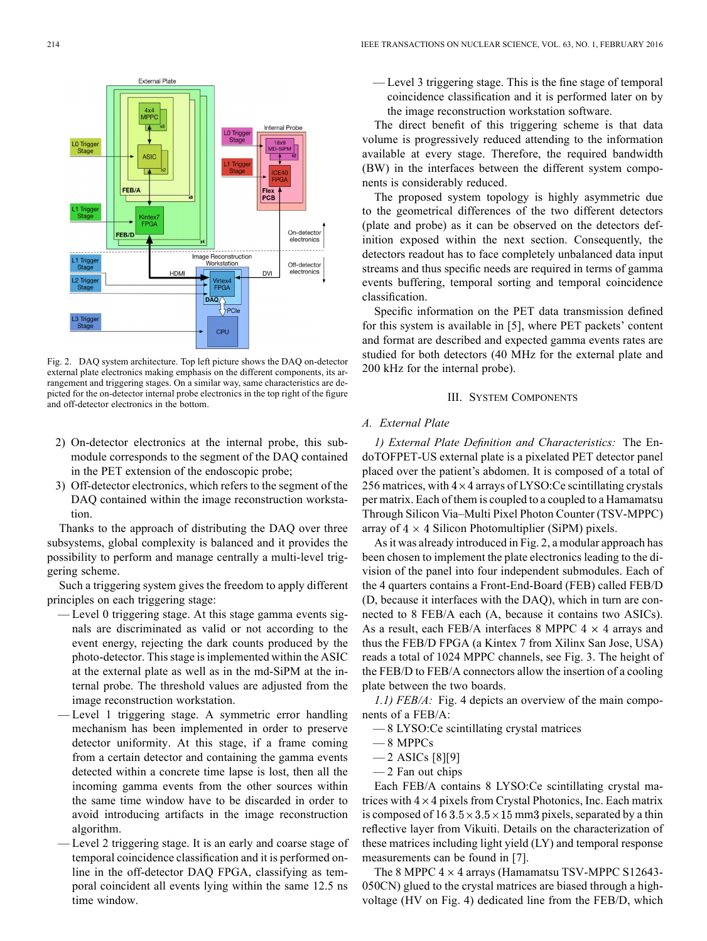

Fig. 2. DAQ system architecture. Top left picture shows the DAQ on-detector external plate electronics making emphasis on the different components, its arrangement and triggering stages. On a similar way, same characteristics are depicted for the on-detector internal probe electronics in the top right of the figure and off-detector electronics in the bottom.

- 2) On-detector electronics at the internal probe, this submodule corresponds to the segment of the DAQ contained in the PET extension of the endoscopic probe;
- 3) Off-detector electronics, which refers to the segment of the DAQ contained within the image reconstruction workstation.

Thanks to the approach of distributing the DAQ over three subsystems, global complexity is balanced and it provides the possibility to perform and manage centrally a multi-level triggering scheme.

Such a triggering system gives the freedom to apply different principles on each triggering stage:

- Level 0 triggering stage. At this stage gamma events signals are discriminated as valid or not according to the event energy, rejecting the dark counts produced by the photo-detector. This stage is implemented within the ASIC at the external plate as well as in the md-SiPM at the internal probe. The threshold values are adjusted from the image reconstruction workstation.
- Level 1 triggering stage. A symmetric error handling mechanism has been implemented in order to preserve detector uniformity. At this stage, if a frame coming from a certain detector and containing the gamma events detected within a concrete time lapse is lost, then all the incoming gamma events from the other sources within the same time window have to be discarded in order to avoid introducing artifacts in the image reconstruction algorithm.
- Level 2 triggering stage. It is an early and coarse stage of temporal coincidence classification and it is performed online in the off-detector DAQ FPGA, classifying as temporal coincident all events lying within the same 12.5 ns time window.

— Level 3 triggering stage. This is the fine stage of temporal coincidence classification and it is performed later on by the image reconstruction workstation software.

The direct benefit of this triggering scheme is that data volume is progressively reduced attending to the information available at every stage. Therefore, the required bandwidth (BW) in the interfaces between the different system components is considerably reduced.

The proposed system topology is highly asymmetric due to the geometrical differences of the two different detectors (plate and probe) as it can be observed on the detectors definition exposed within the next section. Consequently, the detectors readout has to face completely unbalanced data input streams and thus specific needs are required in terms of gamma events buffering, temporal sorting and temporal coincidence classification.

Specific information on the PET data transmission defined for this system is available in [5], where PET packets' content and format are described and expected gamma events rates are studied for both detectors (40 MHz for the external plate and 200 kHz for the internal probe).

#### III. SYSTEM COMPONENTS

# *A. External Plate*

*1) External Plate Definition and Characteristics:* The EndoTOFPET-US external plate is a pixelated PET detector panel placed over the patient's abdomen. It is composed of a total of 256 matrices, with  $4 \times 4$  arrays of LYSO: Ce scintillating crystals per matrix. Each of them is coupled to a coupled to a Hamamatsu Through Silicon Via–Multi Pixel Photon Counter (TSV-MPPC) array of  $4 \times 4$  Silicon Photomultiplier (SiPM) pixels.

As it was already introduced in Fig. 2, a modular approach has been chosen to implement the plate electronics leading to the division of the panel into four independent submodules. Each of the 4 quarters contains a Front-End-Board (FEB) called FEB/D (D, because it interfaces with the DAQ), which in turn are connected to 8 FEB/A each (A, because it contains two ASICs). As a result, each FEB/A interfaces 8 MPPC  $4 \times 4$  arrays and thus the FEB/D FPGA (a Kintex 7 from Xilinx San Jose, USA) reads a total of 1024 MPPC channels, see Fig. 3. The height of the FEB/D to FEB/A connectors allow the insertion of a cooling plate between the two boards.

*1.1) FEB/A:* Fig. 4 depicts an overview of the main components of a FEB/A:

- 8 LYSO:Ce scintillating crystal matrices
- 8 MPPCs
- $-2$  ASICs [8][9]
- 2 Fan out chips

Each FEB/A contains 8 LYSO:Ce scintillating crystal matrices with  $4 \times 4$  pixels from Crystal Photonics, Inc. Each matrix is composed of  $163.5 \times 3.5 \times 15$  mm3 pixels, separated by a thin reflective layer from Vikuiti. Details on the characterization of these matrices including light yield (LY) and temporal response measurements can be found in [7].

The 8 MPPC  $4 \times 4$  arrays (Hamamatsu TSV-MPPC S12643-050CN) glued to the crystal matrices are biased through a highvoltage (HV on Fig. 4) dedicated line from the FEB/D, which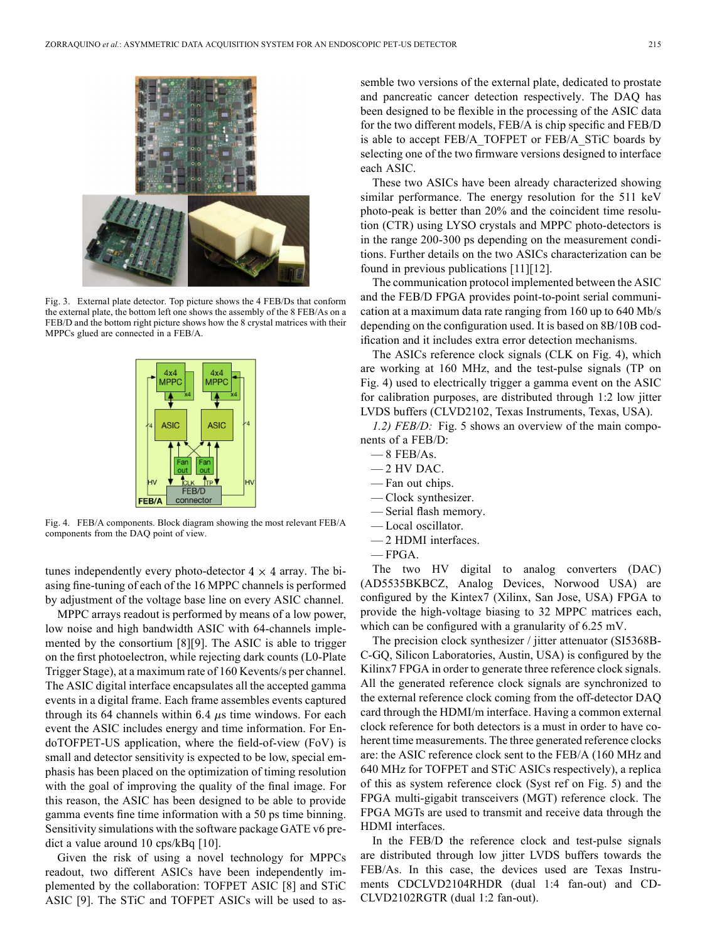

Fig. 3. External plate detector. Top picture shows the 4 FEB/Ds that conform the external plate, the bottom left one shows the assembly of the 8 FEB/As on a FEB/D and the bottom right picture shows how the 8 crystal matrices with their MPPCs glued are connected in a FEB/A.



Fig. 4. FEB/A components. Block diagram showing the most relevant FEB/A components from the DAQ point of view.

tunes independently every photo-detector  $4 \times 4$  array. The biasing fine-tuning of each of the 16 MPPC channels is performed by adjustment of the voltage base line on every ASIC channel.

MPPC arrays readout is performed by means of a low power, low noise and high bandwidth ASIC with 64-channels implemented by the consortium [8][9]. The ASIC is able to trigger on the first photoelectron, while rejecting dark counts (L0-Plate Trigger Stage), at a maximum rate of 160 Kevents/s per channel. The ASIC digital interface encapsulates all the accepted gamma events in a digital frame. Each frame assembles events captured through its 64 channels within 6.4  $\mu$ s time windows. For each event the ASIC includes energy and time information. For EndoTOFPET-US application, where the field-of-view (FoV) is small and detector sensitivity is expected to be low, special emphasis has been placed on the optimization of timing resolution with the goal of improving the quality of the final image. For this reason, the ASIC has been designed to be able to provide gamma events fine time information with a 50 ps time binning. Sensitivity simulations with the software package GATE v6 predict a value around 10 cps/kBq [10].

Given the risk of using a novel technology for MPPCs readout, two different ASICs have been independently implemented by the collaboration: TOFPET ASIC [8] and STiC ASIC [9]. The STiC and TOFPET ASICs will be used to assemble two versions of the external plate, dedicated to prostate and pancreatic cancer detection respectively. The DAQ has been designed to be flexible in the processing of the ASIC data for the two different models, FEB/A is chip specific and FEB/D is able to accept FEB/A\_TOFPET or FEB/A\_STiC boards by selecting one of the two firmware versions designed to interface each ASIC.

These two ASICs have been already characterized showing similar performance. The energy resolution for the 511 keV photo-peak is better than 20% and the coincident time resolution (CTR) using LYSO crystals and MPPC photo-detectors is in the range 200-300 ps depending on the measurement conditions. Further details on the two ASICs characterization can be found in previous publications [11][12].

The communication protocol implemented between the ASIC and the FEB/D FPGA provides point-to-point serial communication at a maximum data rate ranging from 160 up to 640 Mb/s depending on the configuration used. It is based on 8B/10B codification and it includes extra error detection mechanisms.

The ASICs reference clock signals (CLK on Fig. 4), which are working at 160 MHz, and the test-pulse signals (TP on Fig. 4) used to electrically trigger a gamma event on the ASIC for calibration purposes, are distributed through 1:2 low jitter LVDS buffers (CLVD2102, Texas Instruments, Texas, USA).

*1.2) FEB/D:* Fig. 5 shows an overview of the main components of a FEB/D:

- $-8$  FEB/As.
- 2 HV DAC.
- Fan out chips.
- Clock synthesizer.
- Serial flash memory.
- Local oscillator.
- 2 HDMI interfaces.
- FPGA.

The two HV digital to analog converters (DAC) (AD5535BKBCZ, Analog Devices, Norwood USA) are configured by the Kintex7 (Xilinx, San Jose, USA) FPGA to provide the high-voltage biasing to 32 MPPC matrices each, which can be configured with a granularity of 6.25 mV.

The precision clock synthesizer / jitter attenuator (SI5368B-C-GQ, Silicon Laboratories, Austin, USA) is configured by the Kilinx7 FPGA in order to generate three reference clock signals. All the generated reference clock signals are synchronized to the external reference clock coming from the off-detector DAQ card through the HDMI/m interface. Having a common external clock reference for both detectors is a must in order to have coherent time measurements. The three generated reference clocks are: the ASIC reference clock sent to the FEB/A (160 MHz and 640 MHz for TOFPET and STiC ASICs respectively), a replica of this as system reference clock (Syst ref on Fig. 5) and the FPGA multi-gigabit transceivers (MGT) reference clock. The FPGA MGTs are used to transmit and receive data through the HDMI interfaces.

In the FEB/D the reference clock and test-pulse signals are distributed through low jitter LVDS buffers towards the FEB/As. In this case, the devices used are Texas Instruments CDCLVD2104RHDR (dual 1:4 fan-out) and CD-CLVD2102RGTR (dual 1:2 fan-out).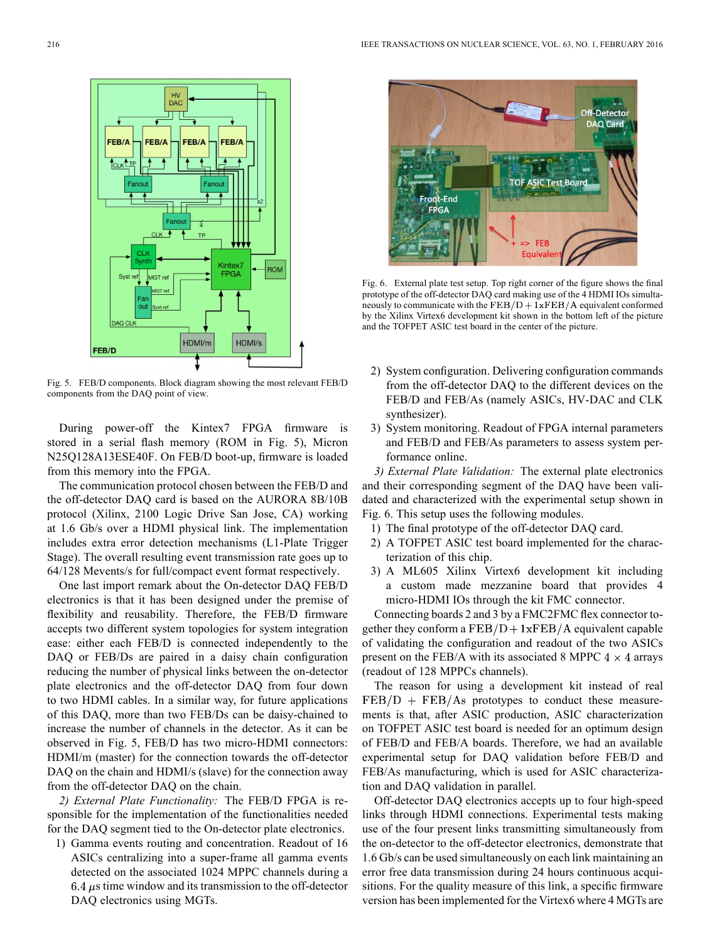

Fig. 5. FEB/D components. Block diagram showing the most relevant FEB/D components from the DAQ point of view.

During power-off the Kintex7 FPGA firmware is stored in a serial flash memory (ROM in Fig. 5), Micron N25Q128A13ESE40F. On FEB/D boot-up, firmware is loaded from this memory into the FPGA.

The communication protocol chosen between the FEB/D and the off-detector DAQ card is based on the AURORA 8B/10B protocol (Xilinx, 2100 Logic Drive San Jose, CA) working at 1.6 Gb/s over a HDMI physical link. The implementation includes extra error detection mechanisms (L1-Plate Trigger Stage). The overall resulting event transmission rate goes up to 64/128 Mevents/s for full/compact event format respectively.

One last import remark about the On-detector DAQ FEB/D electronics is that it has been designed under the premise of flexibility and reusability. Therefore, the FEB/D firmware accepts two different system topologies for system integration ease: either each FEB/D is connected independently to the DAQ or FEB/Ds are paired in a daisy chain configuration reducing the number of physical links between the on-detector plate electronics and the off-detector DAQ from four down to two HDMI cables. In a similar way, for future applications of this DAQ, more than two FEB/Ds can be daisy-chained to increase the number of channels in the detector. As it can be observed in Fig. 5, FEB/D has two micro-HDMI connectors: HDMI/m (master) for the connection towards the off-detector DAQ on the chain and HDMI/s (slave) for the connection away from the off-detector DAQ on the chain.

*2) External Plate Functionality:* The FEB/D FPGA is responsible for the implementation of the functionalities needed for the DAQ segment tied to the On-detector plate electronics.

1) Gamma events routing and concentration. Readout of 16 ASICs centralizing into a super-frame all gamma events detected on the associated 1024 MPPC channels during a  $6.4 \mu s$  time window and its transmission to the off-detector DAQ electronics using MGTs.



Fig. 6. External plate test setup. Top right corner of the figure shows the final prototype of the off-detector DAQ card making use of the 4 HDMI IOs simultaneously to communicate with the  $\overline{\text{FEB}}/\text{D} + \overline{\text{1xFEB}}/\text{A}$  equivalent conformed by the Xilinx Virtex6 development kit shown in the bottom left of the picture and the TOFPET ASIC test board in the center of the picture.

- 2) System configuration. Delivering configuration commands from the off-detector DAQ to the different devices on the FEB/D and FEB/As (namely ASICs, HV-DAC and CLK synthesizer).
- 3) System monitoring. Readout of FPGA internal parameters and FEB/D and FEB/As parameters to assess system performance online.

*3) External Plate Validation:* The external plate electronics and their corresponding segment of the DAQ have been validated and characterized with the experimental setup shown in Fig. 6. This setup uses the following modules.

- 1) The final prototype of the off-detector DAQ card.
- 2) A TOFPET ASIC test board implemented for the characterization of this chip.
- 3) A ML605 Xilinx Virtex6 development kit including a custom made mezzanine board that provides 4 micro-HDMI IOs through the kit FMC connector.

Connecting boards 2 and 3 by a FMC2FMC flex connector together they conform a  $\text{FEB}/\text{D} + 1 \text{xFEB}/\text{A}$  equivalent capable of validating the configuration and readout of the two ASICs present on the FEB/A with its associated 8 MPPC  $4 \times 4$  arrays (readout of 128 MPPCs channels).

The reason for using a development kit instead of real  $FEB/D + FEB/As$  prototypes to conduct these measurements is that, after ASIC production, ASIC characterization on TOFPET ASIC test board is needed for an optimum design of FEB/D and FEB/A boards. Therefore, we had an available experimental setup for DAQ validation before FEB/D and FEB/As manufacturing, which is used for ASIC characterization and DAQ validation in parallel.

Off-detector DAQ electronics accepts up to four high-speed links through HDMI connections. Experimental tests making use of the four present links transmitting simultaneously from the on-detector to the off-detector electronics, demonstrate that 1.6 Gb/s can be used simultaneously on each link maintaining an error free data transmission during 24 hours continuous acquisitions. For the quality measure of this link, a specific firmware version has been implemented for the Virtex6 where 4 MGTs are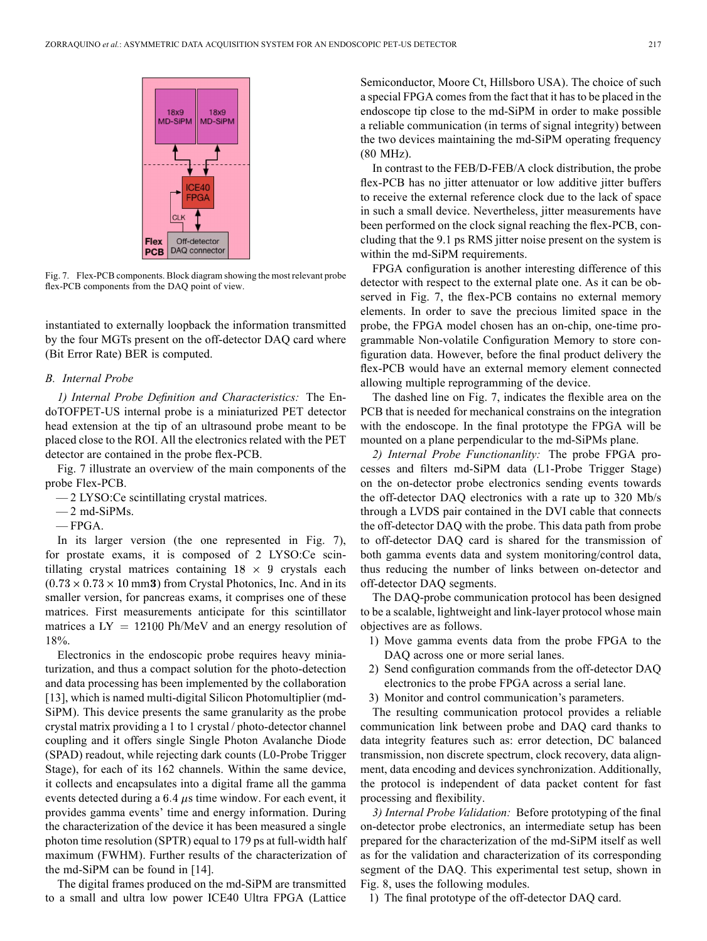

Fig. 7. Flex-PCB components. Block diagram showing the most relevant probe flex-PCB components from the DAQ point of view.

instantiated to externally loopback the information transmitted by the four MGTs present on the off-detector DAQ card where (Bit Error Rate) BER is computed.

#### *B. Internal Probe*

*1) Internal Probe Definition and Characteristics:* The EndoTOFPET-US internal probe is a miniaturized PET detector head extension at the tip of an ultrasound probe meant to be placed close to the ROI. All the electronics related with the PET detector are contained in the probe flex-PCB.

Fig. 7 illustrate an overview of the main components of the probe Flex-PCB.

- 2 LYSO:Ce scintillating crystal matrices.
- $-2$  md-SiPMs.
- FPGA.

In its larger version (the one represented in Fig. 7), for prostate exams, it is composed of 2 LYSO:Ce scintillating crystal matrices containing  $18 \times 9$  crystals each  $(0.73 \times 0.73 \times 10$  mm 3) from Crystal Photonics, Inc. And in its smaller version, for pancreas exams, it comprises one of these matrices. First measurements anticipate for this scintillator matrices a  $LY = 12100 \text{ Ph/MeV}$  and an energy resolution of 18%.

Electronics in the endoscopic probe requires heavy miniaturization, and thus a compact solution for the photo-detection and data processing has been implemented by the collaboration [13], which is named multi-digital Silicon Photomultiplier (md-SiPM). This device presents the same granularity as the probe crystal matrix providing a 1 to 1 crystal / photo-detector channel coupling and it offers single Single Photon Avalanche Diode (SPAD) readout, while rejecting dark counts (L0-Probe Trigger Stage), for each of its 162 channels. Within the same device, it collects and encapsulates into a digital frame all the gamma events detected during a  $6.4 \mu s$  time window. For each event, it provides gamma events' time and energy information. During the characterization of the device it has been measured a single photon time resolution (SPTR) equal to 179 ps at full-width half maximum (FWHM). Further results of the characterization of the md-SiPM can be found in [14].

The digital frames produced on the md-SiPM are transmitted to a small and ultra low power ICE40 Ultra FPGA (Lattice

Semiconductor, Moore Ct, Hillsboro USA). The choice of such a special FPGA comes from the fact that it has to be placed in the endoscope tip close to the md-SiPM in order to make possible a reliable communication (in terms of signal integrity) between the two devices maintaining the md-SiPM operating frequency (80 MHz).

In contrast to the FEB/D-FEB/A clock distribution, the probe flex-PCB has no jitter attenuator or low additive jitter buffers to receive the external reference clock due to the lack of space in such a small device. Nevertheless, jitter measurements have been performed on the clock signal reaching the flex-PCB, concluding that the 9.1 ps RMS jitter noise present on the system is within the md-SiPM requirements.

FPGA configuration is another interesting difference of this detector with respect to the external plate one. As it can be observed in Fig. 7, the flex-PCB contains no external memory elements. In order to save the precious limited space in the probe, the FPGA model chosen has an on-chip, one-time programmable Non-volatile Configuration Memory to store configuration data. However, before the final product delivery the flex-PCB would have an external memory element connected allowing multiple reprogramming of the device.

The dashed line on Fig. 7, indicates the flexible area on the PCB that is needed for mechanical constrains on the integration with the endoscope. In the final prototype the FPGA will be mounted on a plane perpendicular to the md-SiPMs plane.

*2) Internal Probe Functionanlity:* The probe FPGA processes and filters md-SiPM data (L1-Probe Trigger Stage) on the on-detector probe electronics sending events towards the off-detector DAQ electronics with a rate up to 320 Mb/s through a LVDS pair contained in the DVI cable that connects the off-detector DAQ with the probe. This data path from probe to off-detector DAQ card is shared for the transmission of both gamma events data and system monitoring/control data, thus reducing the number of links between on-detector and off-detector DAQ segments.

The DAQ-probe communication protocol has been designed to be a scalable, lightweight and link-layer protocol whose main objectives are as follows.

- 1) Move gamma events data from the probe FPGA to the DAQ across one or more serial lanes.
- 2) Send configuration commands from the off-detector DAQ electronics to the probe FPGA across a serial lane.
- 3) Monitor and control communication's parameters.

The resulting communication protocol provides a reliable communication link between probe and DAQ card thanks to data integrity features such as: error detection, DC balanced transmission, non discrete spectrum, clock recovery, data alignment, data encoding and devices synchronization. Additionally, the protocol is independent of data packet content for fast processing and flexibility.

*3) Internal Probe Validation:* Before prototyping of the final on-detector probe electronics, an intermediate setup has been prepared for the characterization of the md-SiPM itself as well as for the validation and characterization of its corresponding segment of the DAQ. This experimental test setup, shown in Fig. 8, uses the following modules.

1) The final prototype of the off-detector DAQ card.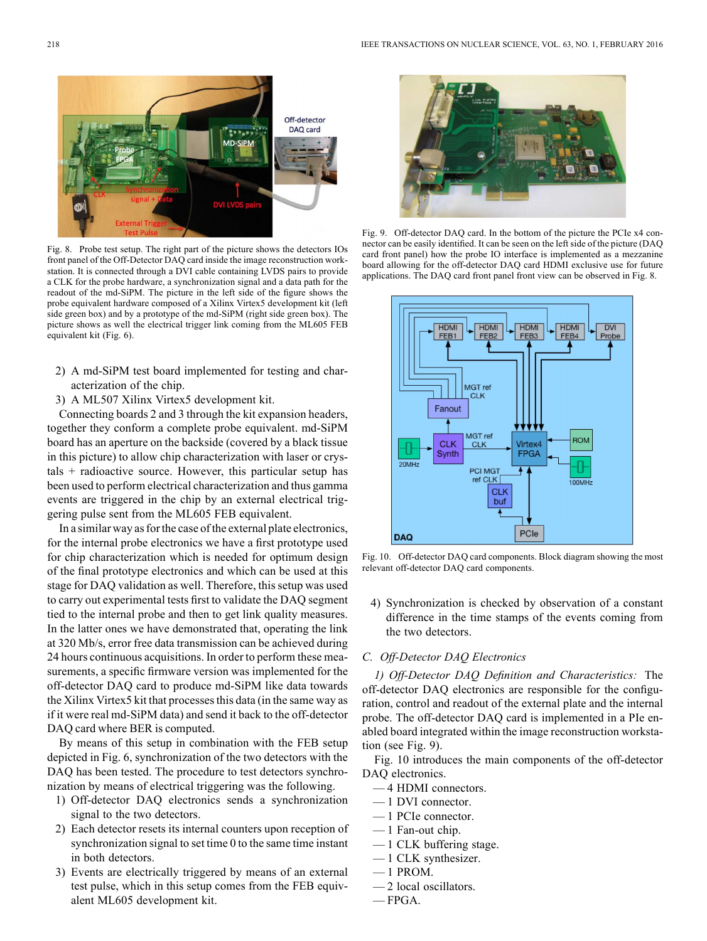

Fig. 8. Probe test setup. The right part of the picture shows the detectors IOs front panel of the Off-Detector DAQ card inside the image reconstruction workstation. It is connected through a DVI cable containing LVDS pairs to provide a CLK for the probe hardware, a synchronization signal and a data path for the readout of the md-SiPM. The picture in the left side of the figure shows the probe equivalent hardware composed of a Xilinx Virtex5 development kit (left side green box) and by a prototype of the md-SiPM (right side green box). The picture shows as well the electrical trigger link coming from the ML605 FEB equivalent kit (Fig. 6).

- 2) A md-SiPM test board implemented for testing and characterization of the chip.
- 3) A ML507 Xilinx Virtex5 development kit.

Connecting boards 2 and 3 through the kit expansion headers, together they conform a complete probe equivalent. md-SiPM board has an aperture on the backside (covered by a black tissue in this picture) to allow chip characterization with laser or crystals + radioactive source. However, this particular setup has been used to perform electrical characterization and thus gamma events are triggered in the chip by an external electrical triggering pulse sent from the ML605 FEB equivalent.

In a similar way as for the case of the external plate electronics, for the internal probe electronics we have a first prototype used for chip characterization which is needed for optimum design of the final prototype electronics and which can be used at this stage for DAQ validation as well. Therefore, this setup was used to carry out experimental tests first to validate the DAQ segment tied to the internal probe and then to get link quality measures. In the latter ones we have demonstrated that, operating the link at 320 Mb/s, error free data transmission can be achieved during 24 hours continuous acquisitions. In order to perform these measurements, a specific firmware version was implemented for the off-detector DAQ card to produce md-SiPM like data towards the Xilinx Virtex5 kit that processes this data (in the same way as if it were real md-SiPM data) and send it back to the off-detector DAQ card where BER is computed.

By means of this setup in combination with the FEB setup depicted in Fig. 6, synchronization of the two detectors with the DAQ has been tested. The procedure to test detectors synchronization by means of electrical triggering was the following.

- 1) Off-detector DAQ electronics sends a synchronization signal to the two detectors.
- 2) Each detector resets its internal counters upon reception of synchronization signal to set time 0 to the same time instant in both detectors.
- 3) Events are electrically triggered by means of an external test pulse, which in this setup comes from the FEB equivalent ML605 development kit.



Fig. 9. Off-detector DAQ card. In the bottom of the picture the PCIe x4 connector can be easily identified. It can be seen on the left side of the picture (DAQ card front panel) how the probe IO interface is implemented as a mezzanine board allowing for the off-detector DAQ card HDMI exclusive use for future applications. The DAQ card front panel front view can be observed in Fig. 8.



Fig. 10. Off-detector DAQ card components. Block diagram showing the most relevant off-detector DAQ card components.

4) Synchronization is checked by observation of a constant difference in the time stamps of the events coming from the two detectors.

#### *C. Off-Detector DAQ Electronics*

*1) Off-Detector DAQ Definition and Characteristics:* The off-detector DAQ electronics are responsible for the configuration, control and readout of the external plate and the internal probe. The off-detector DAQ card is implemented in a PIe enabled board integrated within the image reconstruction workstation (see Fig. 9).

Fig. 10 introduces the main components of the off-detector DAQ electronics.

- 4 HDMI connectors.
- 1 DVI connector.
- 1 PCIe connector.
- 1 Fan-out chip.
- 1 CLK buffering stage.
- 1 CLK synthesizer.
- $-1$  PROM.
- 2 local oscillators.
- FPGA.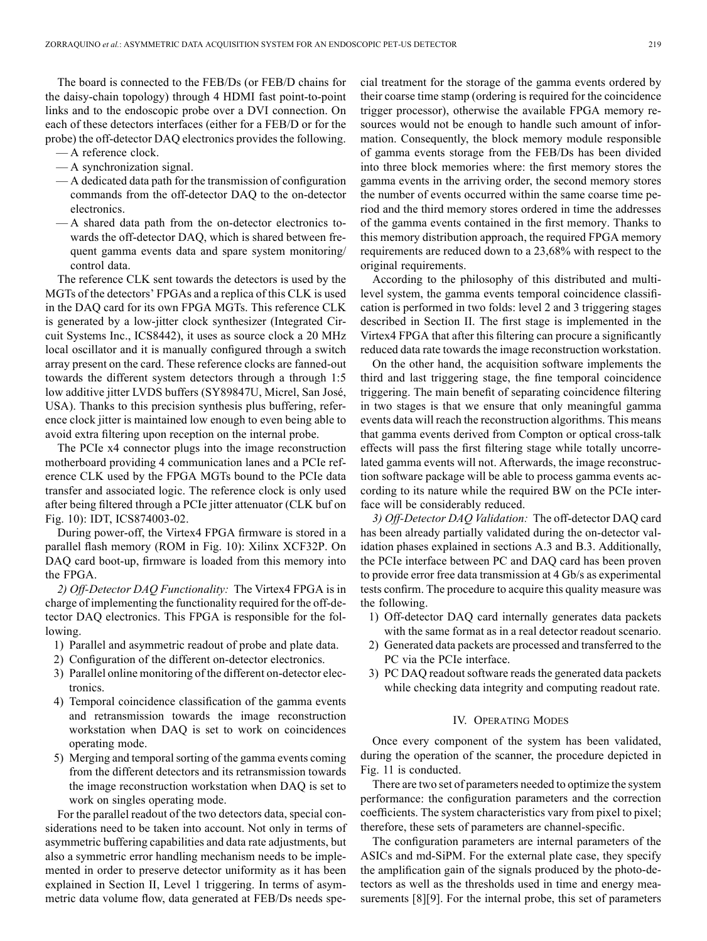The board is connected to the FEB/Ds (or FEB/D chains for the daisy-chain topology) through 4 HDMI fast point-to-point links and to the endoscopic probe over a DVI connection. On each of these detectors interfaces (either for a FEB/D or for the probe) the off-detector DAQ electronics provides the following.

- A reference clock.
- A synchronization signal.
- A dedicated data path for the transmission of configuration commands from the off-detector DAQ to the on-detector electronics.
- A shared data path from the on-detector electronics towards the off-detector DAQ, which is shared between frequent gamma events data and spare system monitoring/ control data.

The reference CLK sent towards the detectors is used by the MGTs of the detectors' FPGAs and a replica of this CLK is used in the DAQ card for its own FPGA MGTs. This reference CLK is generated by a low-jitter clock synthesizer (Integrated Circuit Systems Inc., ICS8442), it uses as source clock a 20 MHz local oscillator and it is manually configured through a switch array present on the card. These reference clocks are fanned-out towards the different system detectors through a through 1:5 low additive jitter LVDS buffers (SY89847U, Micrel, San José, USA). Thanks to this precision synthesis plus buffering, reference clock jitter is maintained low enough to even being able to avoid extra filtering upon reception on the internal probe.

The PCIe x4 connector plugs into the image reconstruction motherboard providing 4 communication lanes and a PCIe reference CLK used by the FPGA MGTs bound to the PCIe data transfer and associated logic. The reference clock is only used after being filtered through a PCIe jitter attenuator (CLK buf on Fig. 10): IDT, ICS874003-02.

During power-off, the Virtex4 FPGA firmware is stored in a parallel flash memory (ROM in Fig. 10): Xilinx XCF32P. On DAQ card boot-up, firmware is loaded from this memory into the FPGA.

*2) Off-Detector DAQ Functionality:* The Virtex4 FPGA is in charge of implementing the functionality required for the off-detector DAQ electronics. This FPGA is responsible for the following.

- 1) Parallel and asymmetric readout of probe and plate data.
- 2) Configuration of the different on-detector electronics.
- 3) Parallel online monitoring of the different on-detector electronics.
- 4) Temporal coincidence classification of the gamma events and retransmission towards the image reconstruction workstation when DAQ is set to work on coincidences operating mode.
- 5) Merging and temporal sorting of the gamma events coming from the different detectors and its retransmission towards the image reconstruction workstation when DAQ is set to work on singles operating mode.

For the parallel readout of the two detectors data, special considerations need to be taken into account. Not only in terms of asymmetric buffering capabilities and data rate adjustments, but also a symmetric error handling mechanism needs to be implemented in order to preserve detector uniformity as it has been explained in Section II, Level 1 triggering. In terms of asymmetric data volume flow, data generated at FEB/Ds needs special treatment for the storage of the gamma events ordered by their coarse time stamp (ordering is required for the coincidence trigger processor), otherwise the available FPGA memory resources would not be enough to handle such amount of information. Consequently, the block memory module responsible of gamma events storage from the FEB/Ds has been divided into three block memories where: the first memory stores the gamma events in the arriving order, the second memory stores the number of events occurred within the same coarse time period and the third memory stores ordered in time the addresses of the gamma events contained in the first memory. Thanks to this memory distribution approach, the required FPGA memory requirements are reduced down to a 23,68% with respect to the original requirements.

According to the philosophy of this distributed and multilevel system, the gamma events temporal coincidence classification is performed in two folds: level 2 and 3 triggering stages described in Section II. The first stage is implemented in the Virtex4 FPGA that after this filtering can procure a significantly reduced data rate towards the image reconstruction workstation.

On the other hand, the acquisition software implements the third and last triggering stage, the fine temporal coincidence triggering. The main benefit of separating coincidence filtering in two stages is that we ensure that only meaningful gamma events data will reach the reconstruction algorithms. This means that gamma events derived from Compton or optical cross-talk effects will pass the first filtering stage while totally uncorrelated gamma events will not. Afterwards, the image reconstruction software package will be able to process gamma events according to its nature while the required BW on the PCIe interface will be considerably reduced.

*3) Off-Detector DAQ Validation:* The off-detector DAQ card has been already partially validated during the on-detector validation phases explained in sections A.3 and B.3. Additionally, the PCIe interface between PC and DAQ card has been proven to provide error free data transmission at 4 Gb/s as experimental tests confirm. The procedure to acquire this quality measure was the following.

- 1) Off-detector DAQ card internally generates data packets with the same format as in a real detector readout scenario.
- 2) Generated data packets are processed and transferred to the PC via the PCIe interface.
- 3) PC DAQ readout software reads the generated data packets while checking data integrity and computing readout rate.

#### IV. OPERATING MODES

Once every component of the system has been validated, during the operation of the scanner, the procedure depicted in Fig. 11 is conducted.

There are two set of parameters needed to optimize the system performance: the configuration parameters and the correction coefficients. The system characteristics vary from pixel to pixel; therefore, these sets of parameters are channel-specific.

The configuration parameters are internal parameters of the ASICs and md-SiPM. For the external plate case, they specify the amplification gain of the signals produced by the photo-detectors as well as the thresholds used in time and energy measurements [8][9]. For the internal probe, this set of parameters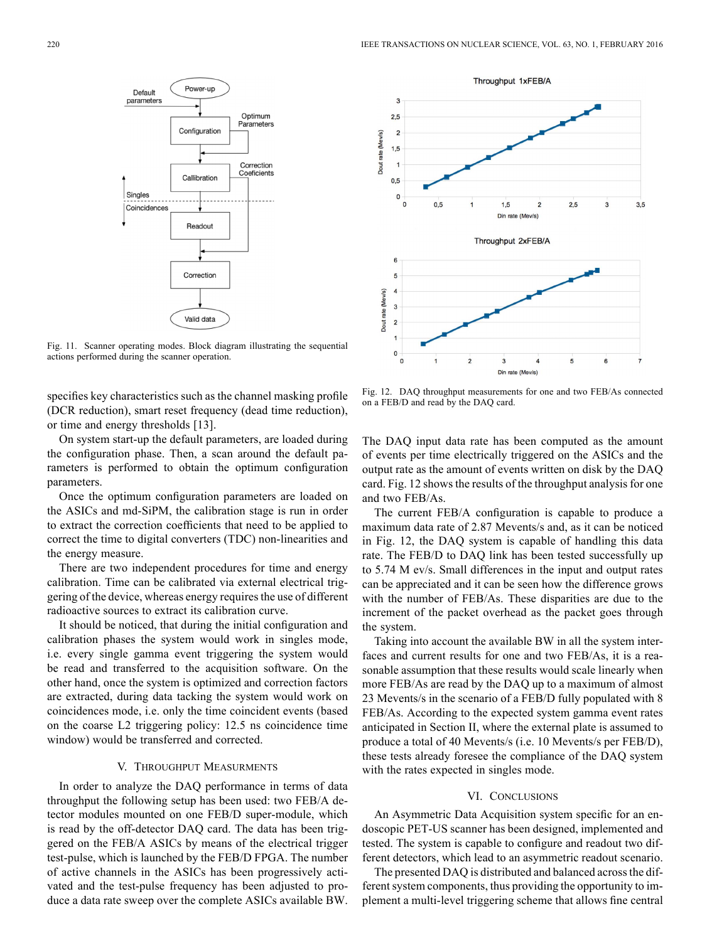

Fig. 11. Scanner operating modes. Block diagram illustrating the sequential actions performed during the scanner operation.

specifies key characteristics such as the channel masking profile (DCR reduction), smart reset frequency (dead time reduction), or time and energy thresholds [13].

On system start-up the default parameters, are loaded during the configuration phase. Then, a scan around the default parameters is performed to obtain the optimum configuration parameters.

Once the optimum configuration parameters are loaded on the ASICs and md-SiPM, the calibration stage is run in order to extract the correction coefficients that need to be applied to correct the time to digital converters (TDC) non-linearities and the energy measure.

There are two independent procedures for time and energy calibration. Time can be calibrated via external electrical triggering of the device, whereas energy requires the use of different radioactive sources to extract its calibration curve.

It should be noticed, that during the initial configuration and calibration phases the system would work in singles mode, i.e. every single gamma event triggering the system would be read and transferred to the acquisition software. On the other hand, once the system is optimized and correction factors are extracted, during data tacking the system would work on coincidences mode, i.e. only the time coincident events (based on the coarse L2 triggering policy: 12.5 ns coincidence time window) would be transferred and corrected.

## V. THROUGHPUT MEASURMENTS

In order to analyze the DAQ performance in terms of data throughput the following setup has been used: two FEB/A detector modules mounted on one FEB/D super-module, which is read by the off-detector DAQ card. The data has been triggered on the FEB/A ASICs by means of the electrical trigger test-pulse, which is launched by the FEB/D FPGA. The number of active channels in the ASICs has been progressively activated and the test-pulse frequency has been adjusted to produce a data rate sweep over the complete ASICs available BW.



Fig. 12. DAQ throughput measurements for one and two FEB/As connected on a FEB/D and read by the DAQ card.

The DAQ input data rate has been computed as the amount of events per time electrically triggered on the ASICs and the output rate as the amount of events written on disk by the DAQ card. Fig. 12 shows the results of the throughput analysis for one and two FEB/As.

The current FEB/A configuration is capable to produce a maximum data rate of 2.87 Mevents/s and, as it can be noticed in Fig. 12, the DAQ system is capable of handling this data rate. The FEB/D to DAQ link has been tested successfully up to 5.74 M ev/s. Small differences in the input and output rates can be appreciated and it can be seen how the difference grows with the number of FEB/As. These disparities are due to the increment of the packet overhead as the packet goes through the system.

Taking into account the available BW in all the system interfaces and current results for one and two FEB/As, it is a reasonable assumption that these results would scale linearly when more FEB/As are read by the DAQ up to a maximum of almost 23 Mevents/s in the scenario of a FEB/D fully populated with 8 FEB/As. According to the expected system gamma event rates anticipated in Section II, where the external plate is assumed to produce a total of 40 Mevents/s (i.e. 10 Mevents/s per FEB/D), these tests already foresee the compliance of the DAQ system with the rates expected in singles mode.

#### VI. CONCLUSIONS

An Asymmetric Data Acquisition system specific for an endoscopic PET-US scanner has been designed, implemented and tested. The system is capable to configure and readout two different detectors, which lead to an asymmetric readout scenario.

The presented DAQ is distributed and balanced across the different system components, thus providing the opportunity to implement a multi-level triggering scheme that allows fine central